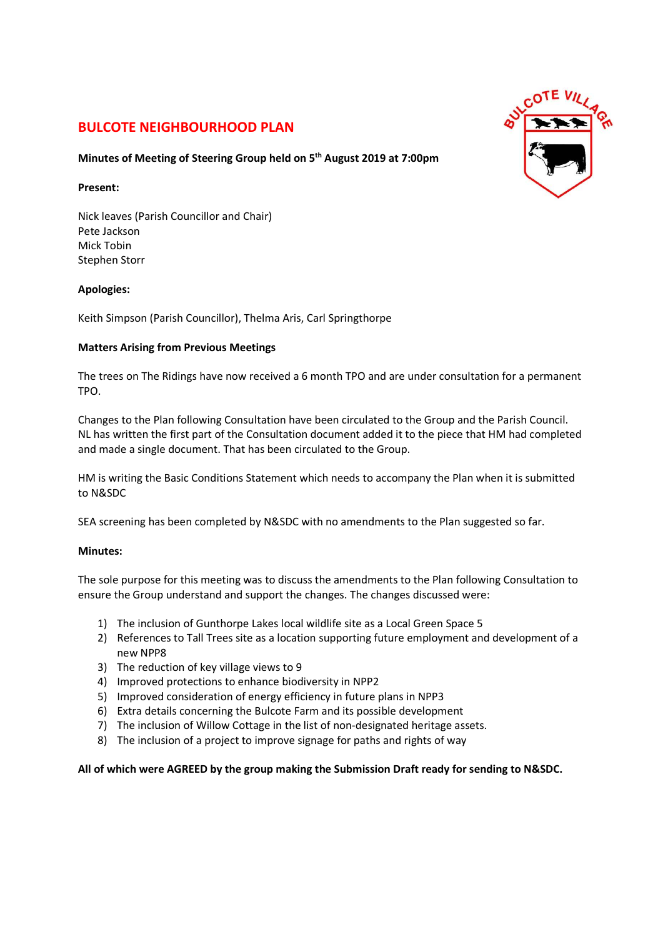# BULCOTE NEIGHBOURHOOD PLAN

## Minutes of Meeting of Steering Group held on 5th August 2019 at 7:00pm

#### Present:

Nick leaves (Parish Councillor and Chair) Pete Jackson Mick Tobin Stephen Storr

## Apologies:

Keith Simpson (Parish Councillor), Thelma Aris, Carl Springthorpe

## Matters Arising from Previous Meetings

The trees on The Ridings have now received a 6 month TPO and are under consultation for a permanent TPO.

Changes to the Plan following Consultation have been circulated to the Group and the Parish Council. NL has written the first part of the Consultation document added it to the piece that HM had completed and made a single document. That has been circulated to the Group.

HM is writing the Basic Conditions Statement which needs to accompany the Plan when it is submitted to N&SDC

SEA screening has been completed by N&SDC with no amendments to the Plan suggested so far.

## Minutes:

The sole purpose for this meeting was to discuss the amendments to the Plan following Consultation to ensure the Group understand and support the changes. The changes discussed were:

- 1) The inclusion of Gunthorpe Lakes local wildlife site as a Local Green Space 5
- 2) References to Tall Trees site as a location supporting future employment and development of a new NPP8
- 3) The reduction of key village views to 9
- 4) Improved protections to enhance biodiversity in NPP2
- 5) Improved consideration of energy efficiency in future plans in NPP3
- 6) Extra details concerning the Bulcote Farm and its possible development
- 7) The inclusion of Willow Cottage in the list of non-designated heritage assets.
- 8) The inclusion of a project to improve signage for paths and rights of way

## All of which were AGREED by the group making the Submission Draft ready for sending to N&SDC.